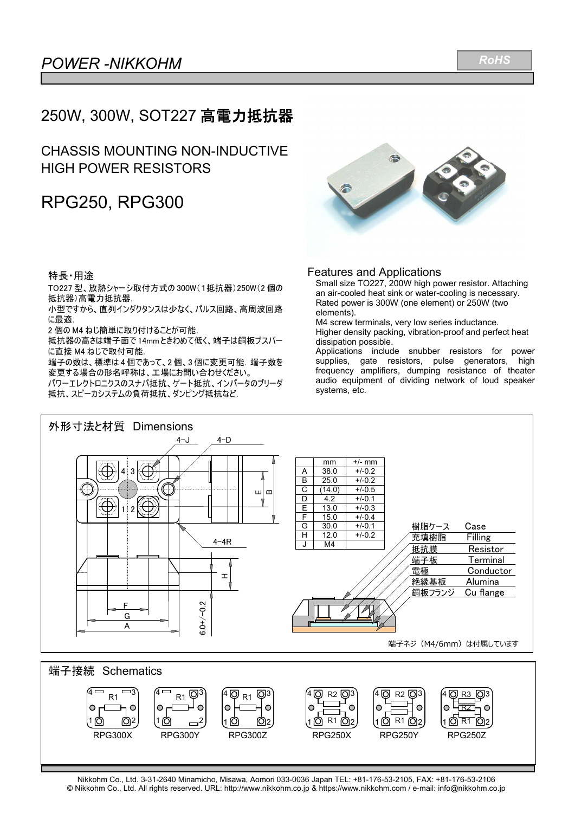## 250W, 300W, SOT227 高電力抵抗器

### CHASSIS MOUNTING NON-INDUCTIVE HIGH POWER RESISTORS

# RPG250, RPG300

### 特長・用途

TO227 型、放熱シャーシ取付方式の 300W(1抵抗器)250W(2 個の 抵抗器)高電力抵抗器.

小型ですから、直列インダクタンスは少なく、パルス回路、高周波回路 に最適.

2 個の M4 ねじ簡単に取り付けることが可能.

1 2

抵抗器の高さは端子面で 14mm ときわめて低く、端子は銅板ブスバー に直接 M4 ねじで取付可能.

端子の数は、標準は4個であって、2個、3個に変更可能. 端子数を 変更する場合の形名呼称は、工場にお問い合わせください。

パワーエレクトロニクスのスナバ抵抗、ゲート抵抗、インバータのブリーダ 抵抗、スピーカシステムの負荷抵抗、ダンピング抵抗など.



#### Features and Applications

Small size TO227, 200W high power resistor. Attaching an air-cooled heat sink or water-cooling is necessary. Rated power is 300W (one element) or 250W (two elements).

M4 screw terminals, very low series inductance. Higher density packing, vibration-proof and perfect heat dissipation possible.

Applications include snubber resistors for power supplies, gate resistors, pulse generators, high frequency amplifiers, dumping resistance of theater audio equipment of dividing network of loud speaker systems, etc.





RPG300X RPG300Y RPG300Z RPG250X RPG250Y RPG250Z

10 02

1 $\odot$   $\rightarrow$  2

1 2 R1

1 2 R1

<sub>.1 l</sub>o] R1 l<u>O</u>]2

R2 R1

© Nikkohm Co., Ltd. All rights reserved. URL: http://www.nikkohm.co.jp & https://www.nikkohm.com / e-mail: info@nikkohm.co.jp